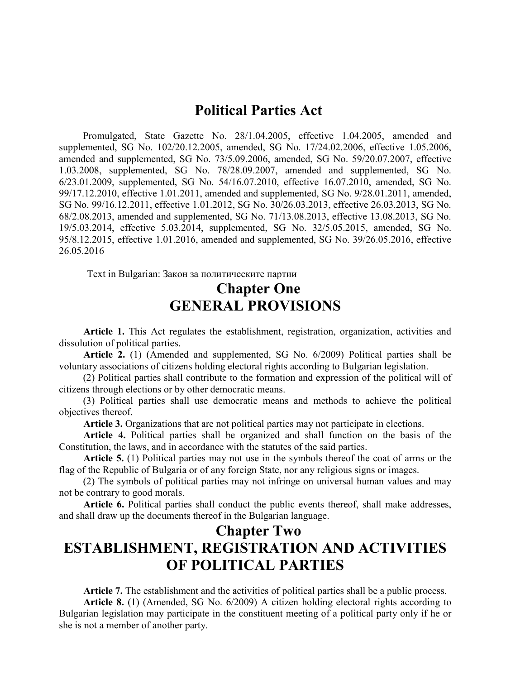#### Political Parties Act

Promulgated, State Gazette No. 28/1.04.2005, effective 1.04.2005, amended and supplemented, SG No. 102/20.12.2005, amended, SG No. 17/24.02.2006, effective 1.05.2006, amended and supplemented, SG No. 73/5.09.2006, amended, SG No. 59/20.07.2007, effective 1.03.2008, supplemented, SG No. 78/28.09.2007, amended and supplemented, SG No. 6/23.01.2009, supplemented, SG No. 54/16.07.2010, effective 16.07.2010, amended, SG No. 99/17.12.2010, effective 1.01.2011, amended and supplemented, SG No. 9/28.01.2011, amended, SG No. 99/16.12.2011, effective 1.01.2012, SG No. 30/26.03.2013, effective 26.03.2013, SG No. 68/2.08.2013, amended and supplemented, SG No. 71/13.08.2013, effective 13.08.2013, SG No. 19/5.03.2014, effective 5.03.2014, supplemented, SG No. 32/5.05.2015, amended, SG No. 95/8.12.2015, effective 1.01.2016, amended and supplemented, SG No. 39/26.05.2016, effective 26.05.2016

Text in Bulgarian: Закон за политическите партии

#### Chapter One GENERAL PROVISIONS

Article 1. This Act regulates the establishment, registration, organization, activities and dissolution of political parties.

Article 2. (1) (Amended and supplemented, SG No. 6/2009) Political parties shall be voluntary associations of citizens holding electoral rights according to Bulgarian legislation.

(2) Political parties shall contribute to the formation and expression of the political will of citizens through elections or by other democratic means.

(3) Political parties shall use democratic means and methods to achieve the political objectives thereof.

Article 3. Organizations that are not political parties may not participate in elections.

Article 4. Political parties shall be organized and shall function on the basis of the Constitution, the laws, and in accordance with the statutes of the said parties.

Article 5. (1) Political parties may not use in the symbols thereof the coat of arms or the flag of the Republic of Bulgaria or of any foreign State, nor any religious signs or images.

(2) The symbols of political parties may not infringe on universal human values and may not be contrary to good morals.

Article 6. Political parties shall conduct the public events thereof, shall make addresses, and shall draw up the documents thereof in the Bulgarian language.

# Chapter Two ESTABLISHMENT, REGISTRATION AND ACTIVITIES OF POLITICAL PARTIES

Article 7. The establishment and the activities of political parties shall be a public process.

Article 8. (1) (Amended, SG No. 6/2009) A citizen holding electoral rights according to Bulgarian legislation may participate in the constituent meeting of a political party only if he or she is not a member of another party.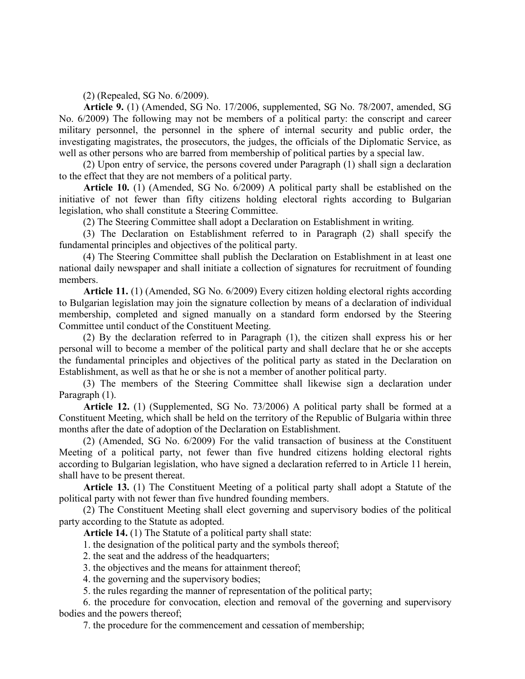(2) (Repealed, SG No. 6/2009).

Article 9. (1) (Amended, SG No. 17/2006, supplemented, SG No. 78/2007, amended, SG No. 6/2009) The following may not be members of a political party: the conscript and career military personnel, the personnel in the sphere of internal security and public order, the investigating magistrates, the prosecutors, the judges, the officials of the Diplomatic Service, as well as other persons who are barred from membership of political parties by a special law.

(2) Upon entry of service, the persons covered under Paragraph (1) shall sign a declaration to the effect that they are not members of a political party.

Article 10. (1) (Amended, SG No. 6/2009) A political party shall be established on the initiative of not fewer than fifty citizens holding electoral rights according to Bulgarian legislation, who shall constitute a Steering Committee.

(2) The Steering Committee shall adopt a Declaration on Establishment in writing.

(3) The Declaration on Establishment referred to in Paragraph (2) shall specify the fundamental principles and objectives of the political party.

(4) The Steering Committee shall publish the Declaration on Establishment in at least one national daily newspaper and shall initiate a collection of signatures for recruitment of founding members.

Article 11. (1) (Amended, SG No. 6/2009) Every citizen holding electoral rights according to Bulgarian legislation may join the signature collection by means of a declaration of individual membership, completed and signed manually on a standard form endorsed by the Steering Committee until conduct of the Constituent Meeting.

(2) By the declaration referred to in Paragraph (1), the citizen shall express his or her personal will to become a member of the political party and shall declare that he or she accepts the fundamental principles and objectives of the political party as stated in the Declaration on Establishment, as well as that he or she is not a member of another political party.

(3) The members of the Steering Committee shall likewise sign a declaration under Paragraph (1).

Article 12. (1) (Supplemented, SG No. 73/2006) A political party shall be formed at a Constituent Meeting, which shall be held on the territory of the Republic of Bulgaria within three months after the date of adoption of the Declaration on Establishment.

(2) (Amended, SG No. 6/2009) For the valid transaction of business at the Constituent Meeting of a political party, not fewer than five hundred citizens holding electoral rights according to Bulgarian legislation, who have signed a declaration referred to in Article 11 herein, shall have to be present thereat.

Article 13. (1) The Constituent Meeting of a political party shall adopt a Statute of the political party with not fewer than five hundred founding members.

(2) The Constituent Meeting shall elect governing and supervisory bodies of the political party according to the Statute as adopted.

Article 14. (1) The Statute of a political party shall state:

1. the designation of the political party and the symbols thereof;

2. the seat and the address of the headquarters;

3. the objectives and the means for attainment thereof;

4. the governing and the supervisory bodies;

5. the rules regarding the manner of representation of the political party;

6. the procedure for convocation, election and removal of the governing and supervisory bodies and the powers thereof;

7. the procedure for the commencement and cessation of membership;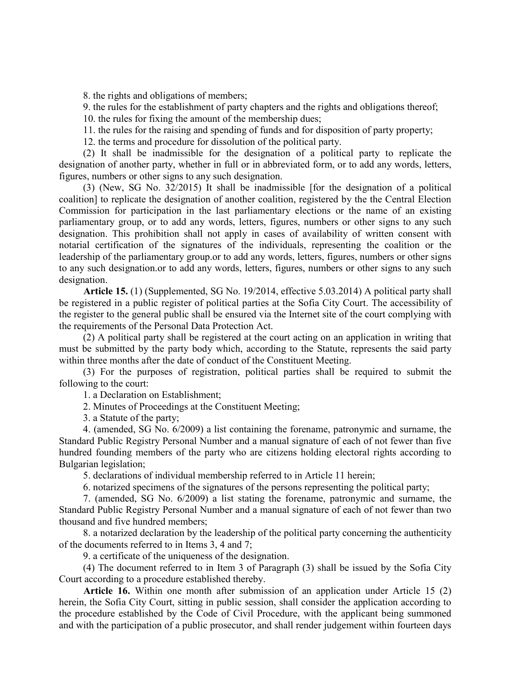8. the rights and obligations of members;

9. the rules for the establishment of party chapters and the rights and obligations thereof;

10. the rules for fixing the amount of the membership dues;

11. the rules for the raising and spending of funds and for disposition of party property;

12. the terms and procedure for dissolution of the political party.

(2) It shall be inadmissible for the designation of a political party to replicate the designation of another party, whether in full or in abbreviated form, or to add any words, letters, figures, numbers or other signs to any such designation.

(3) (New, SG No. 32/2015) It shall be inadmissible [for the designation of a political coalition] to replicate the designation of another coalition, registered by the the Central Election Commission for participation in the last parliamentary elections or the name of an existing parliamentary group, or to add any words, letters, figures, numbers or other signs to any such designation. This prohibition shall not apply in cases of availability of written consent with notarial certification of the signatures of the individuals, representing the coalition or the leadership of the parliamentary group.or to add any words, letters, figures, numbers or other signs to any such designation.or to add any words, letters, figures, numbers or other signs to any such designation.

Article 15. (1) (Supplemented, SG No. 19/2014, effective 5.03.2014) A political party shall be registered in a public register of political parties at the Sofia City Court. The accessibility of the register to the general public shall be ensured via the Internet site of the court complying with the requirements of the Personal Data Protection Act.

(2) A political party shall be registered at the court acting on an application in writing that must be submitted by the party body which, according to the Statute, represents the said party within three months after the date of conduct of the Constituent Meeting.

(3) For the purposes of registration, political parties shall be required to submit the following to the court:

1. a Declaration on Establishment;

2. Minutes of Proceedings at the Constituent Meeting;

3. a Statute of the party;

4. (amended, SG No. 6/2009) a list containing the forename, patronymic and surname, the Standard Public Registry Personal Number and a manual signature of each of not fewer than five hundred founding members of the party who are citizens holding electoral rights according to Bulgarian legislation;

5. declarations of individual membership referred to in Article 11 herein;

6. notarized specimens of the signatures of the persons representing the political party;

7. (amended, SG No. 6/2009) a list stating the forename, patronymic and surname, the Standard Public Registry Personal Number and a manual signature of each of not fewer than two thousand and five hundred members;

8. a notarized declaration by the leadership of the political party concerning the authenticity of the documents referred to in Items 3, 4 and 7;

9. a certificate of the uniqueness of the designation.

(4) The document referred to in Item 3 of Paragraph (3) shall be issued by the Sofia City Court according to a procedure established thereby.

Article 16. Within one month after submission of an application under Article 15 (2) herein, the Sofia City Court, sitting in public session, shall consider the application according to the procedure established by the Code of Civil Procedure, with the applicant being summoned and with the participation of a public prosecutor, and shall render judgement within fourteen days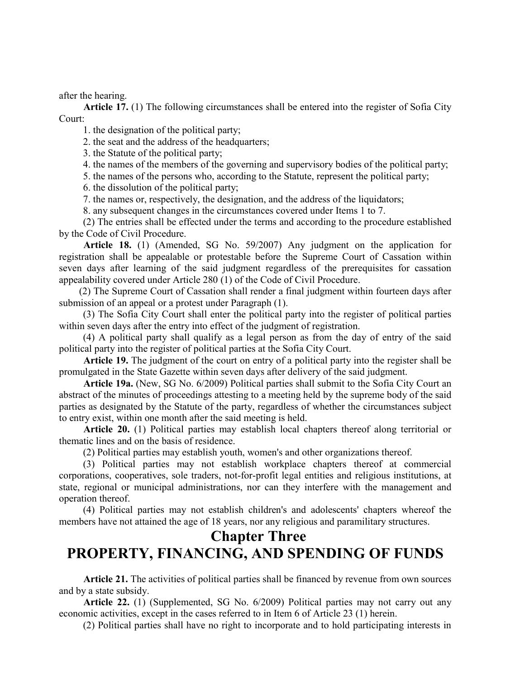after the hearing.

Article 17. (1) The following circumstances shall be entered into the register of Sofia City Court:

1. the designation of the political party;

2. the seat and the address of the headquarters;

3. the Statute of the political party;

4. the names of the members of the governing and supervisory bodies of the political party;

5. the names of the persons who, according to the Statute, represent the political party;

6. the dissolution of the political party;

7. the names or, respectively, the designation, and the address of the liquidators;

8. any subsequent changes in the circumstances covered under Items 1 to 7.

(2) The entries shall be effected under the terms and according to the procedure established by the Code of Civil Procedure.

Article 18. (1) (Amended, SG No. 59/2007) Any judgment on the application for registration shall be appealable or protestable before the Supreme Court of Cassation within seven days after learning of the said judgment regardless of the prerequisites for cassation appealability covered under Article 280 (1) of the Code of Civil Procedure.

(2) The Supreme Court of Cassation shall render a final judgment within fourteen days after submission of an appeal or a protest under Paragraph (1).

(3) The Sofia City Court shall enter the political party into the register of political parties within seven days after the entry into effect of the judgment of registration.

(4) A political party shall qualify as a legal person as from the day of entry of the said political party into the register of political parties at the Sofia City Court.

Article 19. The judgment of the court on entry of a political party into the register shall be promulgated in the State Gazette within seven days after delivery of the said judgment.

Article 19a. (New, SG No. 6/2009) Political parties shall submit to the Sofia City Court an abstract of the minutes of proceedings attesting to a meeting held by the supreme body of the said parties as designated by the Statute of the party, regardless of whether the circumstances subject to entry exist, within one month after the said meeting is held.

Article 20. (1) Political parties may establish local chapters thereof along territorial or thematic lines and on the basis of residence.

(2) Political parties may establish youth, women's and other organizations thereof.

(3) Political parties may not establish workplace chapters thereof at commercial corporations, cooperatives, sole traders, not-for-profit legal entities and religious institutions, at state, regional or municipal administrations, nor can they interfere with the management and operation thereof.

(4) Political parties may not establish children's and adolescents' chapters whereof the members have not attained the age of 18 years, nor any religious and paramilitary structures.

## Chapter Three PROPERTY, FINANCING, AND SPENDING OF FUNDS

Article 21. The activities of political parties shall be financed by revenue from own sources and by a state subsidy.

Article 22. (1) (Supplemented, SG No. 6/2009) Political parties may not carry out any economic activities, except in the cases referred to in Item 6 of Article 23 (1) herein.

(2) Political parties shall have no right to incorporate and to hold participating interests in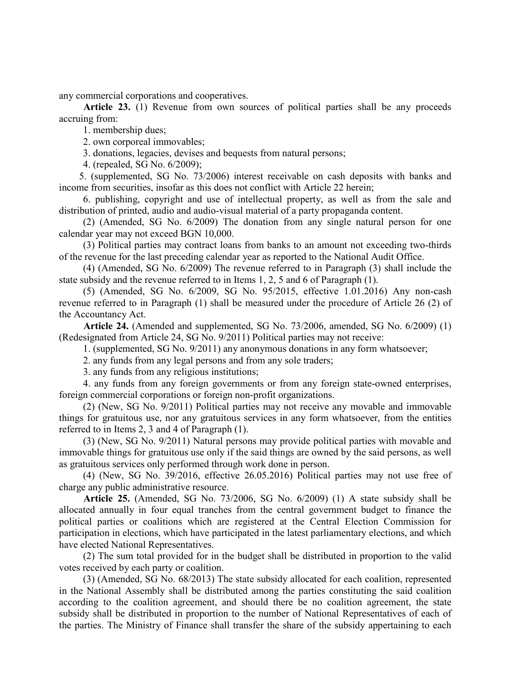any commercial corporations and cooperatives.

Article 23. (1) Revenue from own sources of political parties shall be any proceeds accruing from:

1. membership dues;

2. own corporeal immovables;

3. donations, legacies, devises and bequests from natural persons;

4. (repealed, SG No. 6/2009);

5. (supplemented, SG No. 73/2006) interest receivable on cash deposits with banks and income from securities, insofar as this does not conflict with Article 22 herein;

6. publishing, copyright and use of intellectual property, as well as from the sale and distribution of printed, audio and audio-visual material of a party propaganda content.

(2) (Amended, SG No. 6/2009) The donation from any single natural person for one calendar year may not exceed BGN 10,000.

(3) Political parties may contract loans from banks to an amount not exceeding two-thirds of the revenue for the last preceding calendar year as reported to the National Audit Office.

(4) (Amended, SG No. 6/2009) The revenue referred to in Paragraph (3) shall include the state subsidy and the revenue referred to in Items 1, 2, 5 and 6 of Paragraph (1).

(5) (Amended, SG No. 6/2009, SG No. 95/2015, effective 1.01.2016) Any non-cash revenue referred to in Paragraph (1) shall be measured under the procedure of Article 26 (2) of the Accountancy Act.

Article 24. (Amended and supplemented, SG No. 73/2006, amended, SG No. 6/2009) (1) (Redesignated from Article 24, SG No. 9/2011) Political parties may not receive:

1. (supplemented, SG No. 9/2011) any anonymous donations in any form whatsoever;

2. any funds from any legal persons and from any sole traders;

3. any funds from any religious institutions;

4. any funds from any foreign governments or from any foreign state-owned enterprises, foreign commercial corporations or foreign non-profit organizations.

(2) (New, SG No. 9/2011) Political parties may not receive any movable and immovable things for gratuitous use, nor any gratuitous services in any form whatsoever, from the entities referred to in Items 2, 3 and 4 of Paragraph (1).

(3) (New, SG No. 9/2011) Natural persons may provide political parties with movable and immovable things for gratuitous use only if the said things are owned by the said persons, as well as gratuitous services only performed through work done in person.

(4) (New, SG No. 39/2016, effective 26.05.2016) Political parties may not use free of charge any public administrative resource.

Article 25. (Amended, SG No. 73/2006, SG No. 6/2009) (1) A state subsidy shall be allocated annually in four equal tranches from the central government budget to finance the political parties or coalitions which are registered at the Central Election Commission for participation in elections, which have participated in the latest parliamentary elections, and which have elected National Representatives.

(2) The sum total provided for in the budget shall be distributed in proportion to the valid votes received by each party or coalition.

(3) (Amended, SG No. 68/2013) The state subsidy allocated for each coalition, represented in the National Assembly shall be distributed among the parties constituting the said coalition according to the coalition agreement, and should there be no coalition agreement, the state subsidy shall be distributed in proportion to the number of National Representatives of each of the parties. The Ministry of Finance shall transfer the share of the subsidy appertaining to each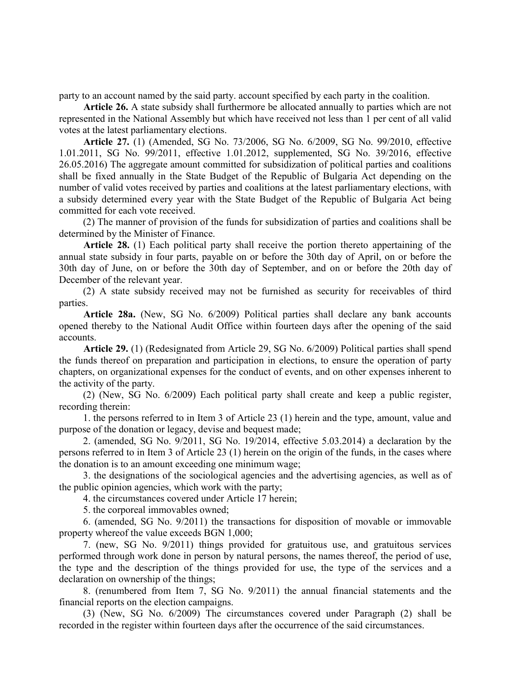party to an account named by the said party. account specified by each party in the coalition.

Article 26. A state subsidy shall furthermore be allocated annually to parties which are not represented in the National Assembly but which have received not less than 1 per cent of all valid votes at the latest parliamentary elections.

Article 27. (1) (Amended, SG No. 73/2006, SG No. 6/2009, SG No. 99/2010, effective 1.01.2011, SG No. 99/2011, effective 1.01.2012, supplemented, SG No. 39/2016, effective 26.05.2016) The aggregate amount committed for subsidization of political parties and coalitions shall be fixed annually in the State Budget of the Republic of Bulgaria Act depending on the number of valid votes received by parties and coalitions at the latest parliamentary elections, with a subsidy determined every year with the State Budget of the Republic of Bulgaria Act being committed for each vote received.

(2) The manner of provision of the funds for subsidization of parties and coalitions shall be determined by the Minister of Finance.

Article 28. (1) Each political party shall receive the portion thereto appertaining of the annual state subsidy in four parts, payable on or before the 30th day of April, on or before the 30th day of June, on or before the 30th day of September, and on or before the 20th day of December of the relevant year.

(2) A state subsidy received may not be furnished as security for receivables of third parties.

Article 28a. (New, SG No. 6/2009) Political parties shall declare any bank accounts opened thereby to the National Audit Office within fourteen days after the opening of the said accounts.

Article 29. (1) (Redesignated from Article 29, SG No. 6/2009) Political parties shall spend the funds thereof on preparation and participation in elections, to ensure the operation of party chapters, on organizational expenses for the conduct of events, and on other expenses inherent to the activity of the party.

(2) (New, SG No. 6/2009) Each political party shall create and keep a public register, recording therein:

1. the persons referred to in Item 3 of Article 23 (1) herein and the type, amount, value and purpose of the donation or legacy, devise and bequest made;

2. (amended, SG No. 9/2011, SG No. 19/2014, effective 5.03.2014) a declaration by the persons referred to in Item 3 of Article 23 (1) herein on the origin of the funds, in the cases where the donation is to an amount exceeding one minimum wage;

3. the designations of the sociological agencies and the advertising agencies, as well as of the public opinion agencies, which work with the party;

4. the circumstances covered under Article 17 herein;

5. the corporeal immovables owned;

6. (amended, SG No. 9/2011) the transactions for disposition of movable or immovable property whereof the value exceeds BGN 1,000;

7. (new, SG No. 9/2011) things provided for gratuitous use, and gratuitous services performed through work done in person by natural persons, the names thereof, the period of use, the type and the description of the things provided for use, the type of the services and a declaration on ownership of the things;

8. (renumbered from Item 7, SG No. 9/2011) the annual financial statements and the financial reports on the election campaigns.

(3) (New, SG No. 6/2009) The circumstances covered under Paragraph (2) shall be recorded in the register within fourteen days after the occurrence of the said circumstances.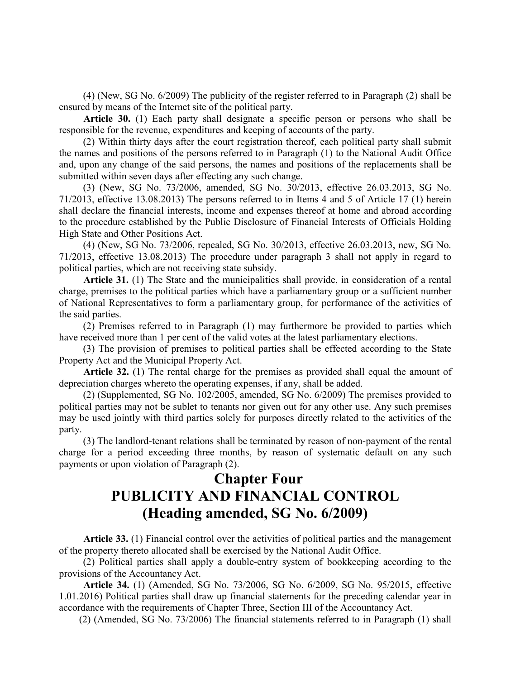(4) (New, SG No. 6/2009) The publicity of the register referred to in Paragraph (2) shall be ensured by means of the Internet site of the political party.

Article 30. (1) Each party shall designate a specific person or persons who shall be responsible for the revenue, expenditures and keeping of accounts of the party.

(2) Within thirty days after the court registration thereof, each political party shall submit the names and positions of the persons referred to in Paragraph (1) to the National Audit Office and, upon any change of the said persons, the names and positions of the replacements shall be submitted within seven days after effecting any such change.

(3) (New, SG No. 73/2006, amended, SG No. 30/2013, effective 26.03.2013, SG No. 71/2013, effective 13.08.2013) The persons referred to in Items 4 and 5 of Article 17 (1) herein shall declare the financial interests, income and expenses thereof at home and abroad according to the procedure established by the Public Disclosure of Financial Interests of Officials Holding High State and Other Positions Act.

(4) (New, SG No. 73/2006, repealed, SG No. 30/2013, effective 26.03.2013, new, SG No. 71/2013, effective 13.08.2013) The procedure under paragraph 3 shall not apply in regard to political parties, which are not receiving state subsidy.

Article 31. (1) The State and the municipalities shall provide, in consideration of a rental charge, premises to the political parties which have a parliamentary group or a sufficient number of National Representatives to form a parliamentary group, for performance of the activities of the said parties.

(2) Premises referred to in Paragraph (1) may furthermore be provided to parties which have received more than 1 per cent of the valid votes at the latest parliamentary elections.

(3) The provision of premises to political parties shall be effected according to the State Property Act and the Municipal Property Act.

Article 32. (1) The rental charge for the premises as provided shall equal the amount of depreciation charges whereto the operating expenses, if any, shall be added.

(2) (Supplemented, SG No. 102/2005, amended, SG No. 6/2009) The premises provided to political parties may not be sublet to tenants nor given out for any other use. Any such premises may be used jointly with third parties solely for purposes directly related to the activities of the party.

(3) The landlord-tenant relations shall be terminated by reason of non-payment of the rental charge for a period exceeding three months, by reason of systematic default on any such payments or upon violation of Paragraph (2).

# Chapter Four PUBLICITY AND FINANCIAL CONTROL (Heading amended, SG No. 6/2009)

Article 33. (1) Financial control over the activities of political parties and the management of the property thereto allocated shall be exercised by the National Audit Office.

(2) Political parties shall apply a double-entry system of bookkeeping according to the provisions of the Accountancy Act.

Article 34. (1) (Amended, SG No. 73/2006, SG No. 6/2009, SG No. 95/2015, effective 1.01.2016) Political parties shall draw up financial statements for the preceding calendar year in accordance with the requirements of Chapter Three, Section III of the Accountancy Act.

(2) (Amended, SG No. 73/2006) The financial statements referred to in Paragraph (1) shall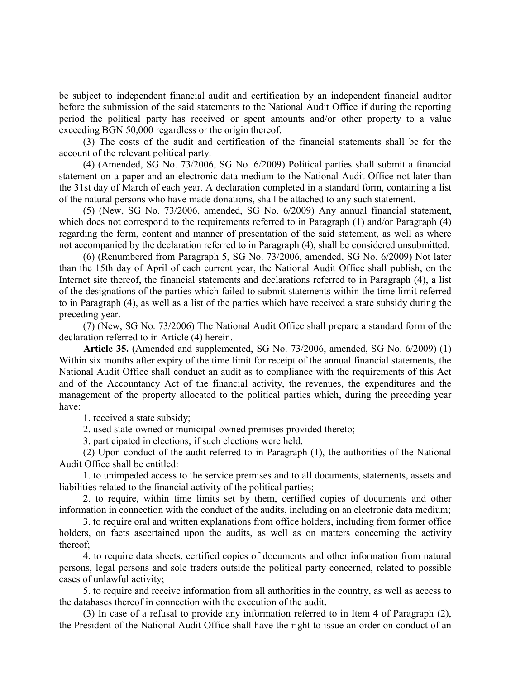be subject to independent financial audit and certification by an independent financial auditor before the submission of the said statements to the National Audit Office if during the reporting period the political party has received or spent amounts and/or other property to a value exceeding BGN 50,000 regardless or the origin thereof.

(3) The costs of the audit and certification of the financial statements shall be for the account of the relevant political party.

(4) (Amended, SG No. 73/2006, SG No. 6/2009) Political parties shall submit a financial statement on a paper and an electronic data medium to the National Audit Office not later than the 31st day of March of each year. A declaration completed in a standard form, containing a list of the natural persons who have made donations, shall be attached to any such statement.

(5) (New, SG No. 73/2006, amended, SG No. 6/2009) Any annual financial statement, which does not correspond to the requirements referred to in Paragraph (1) and/or Paragraph (4) regarding the form, content and manner of presentation of the said statement, as well as where not accompanied by the declaration referred to in Paragraph (4), shall be considered unsubmitted.

(6) (Renumbered from Paragraph 5, SG No. 73/2006, amended, SG No. 6/2009) Not later than the 15th day of April of each current year, the National Audit Office shall publish, on the Internet site thereof, the financial statements and declarations referred to in Paragraph (4), a list of the designations of the parties which failed to submit statements within the time limit referred to in Paragraph (4), as well as a list of the parties which have received a state subsidy during the preceding year.

(7) (New, SG No. 73/2006) The National Audit Office shall prepare a standard form of the declaration referred to in Article (4) herein.

Article 35. (Amended and supplemented, SG No. 73/2006, amended, SG No. 6/2009) (1) Within six months after expiry of the time limit for receipt of the annual financial statements, the National Audit Office shall conduct an audit as to compliance with the requirements of this Act and of the Accountancy Act of the financial activity, the revenues, the expenditures and the management of the property allocated to the political parties which, during the preceding year have:

1. received a state subsidy;

2. used state-owned or municipal-owned premises provided thereto;

3. participated in elections, if such elections were held.

(2) Upon conduct of the audit referred to in Paragraph (1), the authorities of the National Audit Office shall be entitled:

1. to unimpeded access to the service premises and to all documents, statements, assets and liabilities related to the financial activity of the political parties;

2. to require, within time limits set by them, certified copies of documents and other information in connection with the conduct of the audits, including on an electronic data medium;

3. to require oral and written explanations from office holders, including from former office holders, on facts ascertained upon the audits, as well as on matters concerning the activity thereof;

4. to require data sheets, certified copies of documents and other information from natural persons, legal persons and sole traders outside the political party concerned, related to possible cases of unlawful activity;

5. to require and receive information from all authorities in the country, as well as access to the databases thereof in connection with the execution of the audit.

(3) In case of a refusal to provide any information referred to in Item 4 of Paragraph (2), the President of the National Audit Office shall have the right to issue an order on conduct of an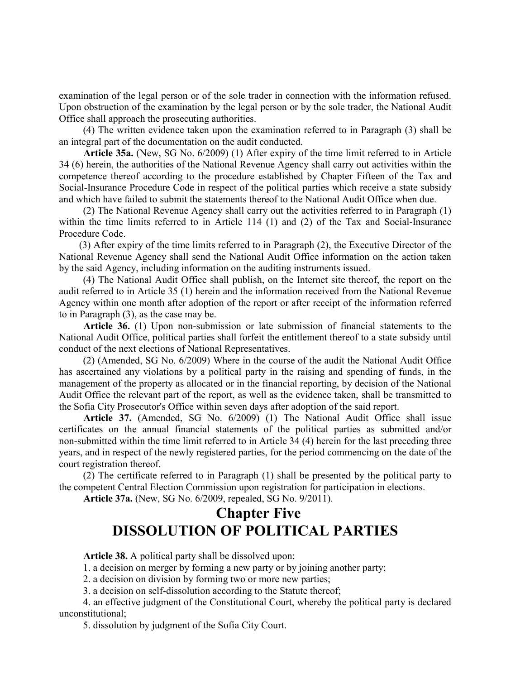examination of the legal person or of the sole trader in connection with the information refused. Upon obstruction of the examination by the legal person or by the sole trader, the National Audit Office shall approach the prosecuting authorities.

(4) The written evidence taken upon the examination referred to in Paragraph (3) shall be an integral part of the documentation on the audit conducted.

Article 35a. (New, SG No. 6/2009) (1) After expiry of the time limit referred to in Article 34 (6) herein, the authorities of the National Revenue Agency shall carry out activities within the competence thereof according to the procedure established by Chapter Fifteen of the Tax and Social-Insurance Procedure Code in respect of the political parties which receive a state subsidy and which have failed to submit the statements thereof to the National Audit Office when due.

(2) The National Revenue Agency shall carry out the activities referred to in Paragraph (1) within the time limits referred to in Article 114 (1) and (2) of the Tax and Social-Insurance Procedure Code.

(3) After expiry of the time limits referred to in Paragraph (2), the Executive Director of the National Revenue Agency shall send the National Audit Office information on the action taken by the said Agency, including information on the auditing instruments issued.

(4) The National Audit Office shall publish, on the Internet site thereof, the report on the audit referred to in Article 35 (1) herein and the information received from the National Revenue Agency within one month after adoption of the report or after receipt of the information referred to in Paragraph (3), as the case may be.

Article 36. (1) Upon non-submission or late submission of financial statements to the National Audit Office, political parties shall forfeit the entitlement thereof to a state subsidy until conduct of the next elections of National Representatives.

(2) (Amended, SG No. 6/2009) Where in the course of the audit the National Audit Office has ascertained any violations by a political party in the raising and spending of funds, in the management of the property as allocated or in the financial reporting, by decision of the National Audit Office the relevant part of the report, as well as the evidence taken, shall be transmitted to the Sofia City Prosecutor's Office within seven days after adoption of the said report.

Article 37. (Amended, SG No. 6/2009) (1) The National Audit Office shall issue certificates on the annual financial statements of the political parties as submitted and/or non-submitted within the time limit referred to in Article 34 (4) herein for the last preceding three years, and in respect of the newly registered parties, for the period commencing on the date of the court registration thereof.

(2) The certificate referred to in Paragraph (1) shall be presented by the political party to the competent Central Election Commission upon registration for participation in elections.

Article 37a. (New, SG No. 6/2009, repealed, SG No. 9/2011).

# Chapter Five DISSOLUTION OF POLITICAL PARTIES

Article 38. A political party shall be dissolved upon:

1. a decision on merger by forming a new party or by joining another party;

2. a decision on division by forming two or more new parties;

3. a decision on self-dissolution according to the Statute thereof;

4. an effective judgment of the Constitutional Court, whereby the political party is declared unconstitutional;

5. dissolution by judgment of the Sofia City Court.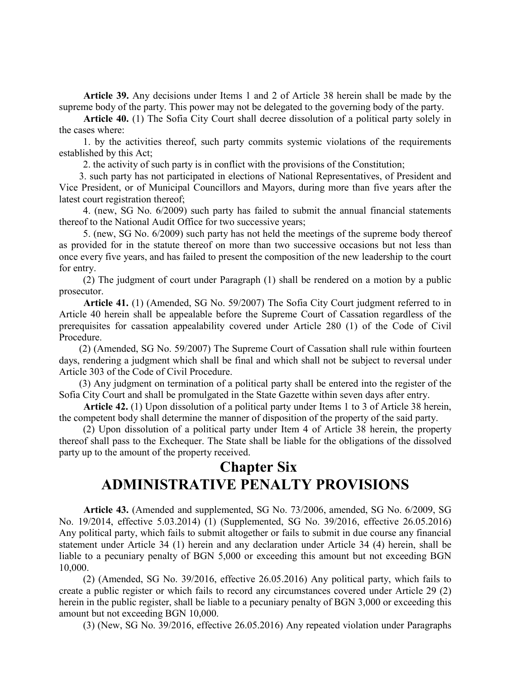Article 39. Any decisions under Items 1 and 2 of Article 38 herein shall be made by the supreme body of the party. This power may not be delegated to the governing body of the party.

Article 40. (1) The Sofia City Court shall decree dissolution of a political party solely in the cases where:

1. by the activities thereof, such party commits systemic violations of the requirements established by this Act;

2. the activity of such party is in conflict with the provisions of the Constitution;

3. such party has not participated in elections of National Representatives, of President and Vice President, or of Municipal Councillors and Mayors, during more than five years after the latest court registration thereof;

4. (new, SG No. 6/2009) such party has failed to submit the annual financial statements thereof to the National Audit Office for two successive years;

5. (new, SG No. 6/2009) such party has not held the meetings of the supreme body thereof as provided for in the statute thereof on more than two successive occasions but not less than once every five years, and has failed to present the composition of the new leadership to the court for entry.

(2) The judgment of court under Paragraph (1) shall be rendered on a motion by a public prosecutor.

Article 41. (1) (Amended, SG No. 59/2007) The Sofia City Court judgment referred to in Article 40 herein shall be appealable before the Supreme Court of Cassation regardless of the prerequisites for cassation appealability covered under Article 280 (1) of the Code of Civil Procedure.

(2) (Amended, SG No. 59/2007) The Supreme Court of Cassation shall rule within fourteen days, rendering a judgment which shall be final and which shall not be subject to reversal under Article 303 of the Code of Civil Procedure.

(3) Any judgment on termination of a political party shall be entered into the register of the Sofia City Court and shall be promulgated in the State Gazette within seven days after entry.

Article 42. (1) Upon dissolution of a political party under Items 1 to 3 of Article 38 herein, the competent body shall determine the manner of disposition of the property of the said party.

(2) Upon dissolution of a political party under Item 4 of Article 38 herein, the property thereof shall pass to the Exchequer. The State shall be liable for the obligations of the dissolved party up to the amount of the property received.

### Chapter Six ADMINISTRATIVE PENALTY PROVISIONS

Article 43. (Amended and supplemented, SG No. 73/2006, amended, SG No. 6/2009, SG No. 19/2014, effective 5.03.2014) (1) (Supplemented, SG No. 39/2016, effective 26.05.2016) Any political party, which fails to submit altogether or fails to submit in due course any financial statement under Article 34 (1) herein and any declaration under Article 34 (4) herein, shall be liable to a pecuniary penalty of BGN 5,000 or exceeding this amount but not exceeding BGN 10,000.

(2) (Amended, SG No. 39/2016, effective 26.05.2016) Any political party, which fails to create a public register or which fails to record any circumstances covered under Article 29 (2) herein in the public register, shall be liable to a pecuniary penalty of BGN 3,000 or exceeding this amount but not exceeding BGN 10,000.

(3) (New, SG No. 39/2016, effective 26.05.2016) Any repeated violation under Paragraphs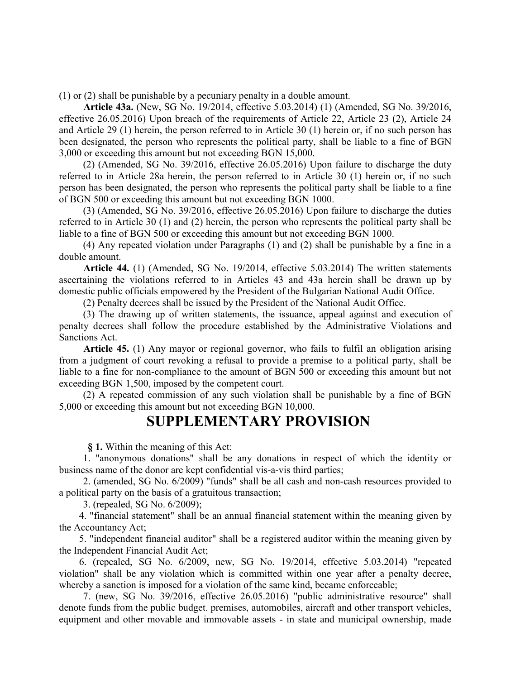(1) or (2) shall be punishable by a pecuniary penalty in a double amount.

Article 43a. (New, SG No. 19/2014, effective 5.03.2014) (1) (Amended, SG No. 39/2016, effective 26.05.2016) Upon breach of the requirements of Article 22, Article 23 (2), Article 24 and Article 29 (1) herein, the person referred to in Article 30 (1) herein or, if no such person has been designated, the person who represents the political party, shall be liable to a fine of BGN 3,000 or exceeding this amount but not exceeding BGN 15,000.

(2) (Amended, SG No. 39/2016, effective 26.05.2016) Upon failure to discharge the duty referred to in Article 28a herein, the person referred to in Article 30 (1) herein or, if no such person has been designated, the person who represents the political party shall be liable to a fine of BGN 500 or exceeding this amount but not exceeding BGN 1000.

(3) (Amended, SG No. 39/2016, effective 26.05.2016) Upon failure to discharge the duties referred to in Article 30 (1) and (2) herein, the person who represents the political party shall be liable to a fine of BGN 500 or exceeding this amount but not exceeding BGN 1000.

(4) Any repeated violation under Paragraphs (1) and (2) shall be punishable by a fine in a double amount.

Article 44. (1) (Amended, SG No. 19/2014, effective 5.03.2014) The written statements ascertaining the violations referred to in Articles 43 and 43a herein shall be drawn up by domestic public officials empowered by the President of the Bulgarian National Audit Office.

(2) Penalty decrees shall be issued by the President of the National Audit Office.

(3) The drawing up of written statements, the issuance, appeal against and execution of penalty decrees shall follow the procedure established by the Administrative Violations and Sanctions Act.

Article 45. (1) Any mayor or regional governor, who fails to fulfil an obligation arising from a judgment of court revoking a refusal to provide a premise to a political party, shall be liable to a fine for non-compliance to the amount of BGN 500 or exceeding this amount but not exceeding BGN 1,500, imposed by the competent court.

(2) A repeated commission of any such violation shall be punishable by a fine of BGN 5,000 or exceeding this amount but not exceeding BGN 10,000.

#### SUPPLEMENTARY PROVISION

§ 1. Within the meaning of this Act:

1. "anonymous donations" shall be any donations in respect of which the identity or business name of the donor are kept confidential vis-a-vis third parties;

2. (amended, SG No. 6/2009) "funds" shall be all cash and non-cash resources provided to a political party on the basis of a gratuitous transaction;

3. (repealed, SG No. 6/2009);

4. "financial statement" shall be an annual financial statement within the meaning given by the Accountancy Act;

5. "independent financial auditor" shall be a registered auditor within the meaning given by the Independent Financial Audit Act;

6. (repealed, SG No. 6/2009, new, SG No. 19/2014, effective 5.03.2014) "repeated violation" shall be any violation which is committed within one year after a penalty decree, whereby a sanction is imposed for a violation of the same kind, became enforceable;

7. (new, SG No. 39/2016, effective 26.05.2016) "public administrative resource" shall denote funds from the public budget. premises, automobiles, aircraft and other transport vehicles, equipment and other movable and immovable assets - in state and municipal ownership, made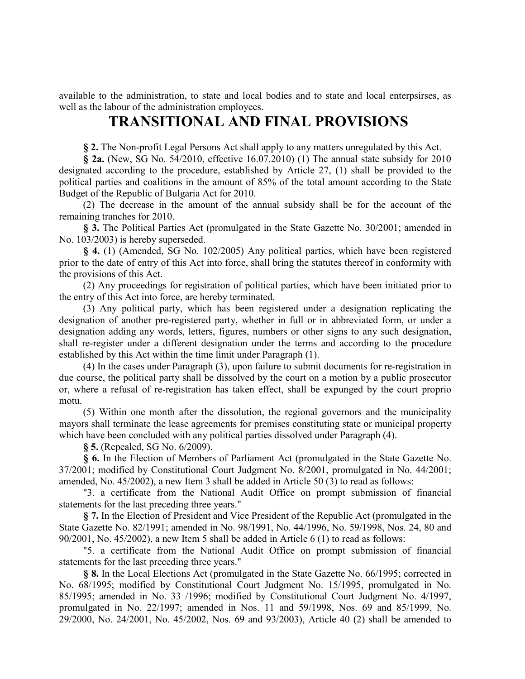available to the administration, to state and local bodies and to state and local enterpsirses, as well as the labour of the administration employees.

#### TRANSITIONAL AND FINAL PROVISIONS

§ 2. The Non-profit Legal Persons Act shall apply to any matters unregulated by this Act.

§ 2a. (New, SG No. 54/2010, effective 16.07.2010) (1) The annual state subsidy for 2010 designated according to the procedure, established by Article 27, (1) shall be provided to the political parties and coalitions in the amount of 85% of the total amount according to the State Budget of the Republic of Bulgaria Act for 2010.

(2) The decrease in the amount of the annual subsidy shall be for the account of the remaining tranches for 2010.

§ 3. The Political Parties Act (promulgated in the State Gazette No. 30/2001; amended in No. 103/2003) is hereby superseded.

§ 4. (1) (Amended, SG No. 102/2005) Any political parties, which have been registered prior to the date of entry of this Act into force, shall bring the statutes thereof in conformity with the provisions of this Act.

(2) Any proceedings for registration of political parties, which have been initiated prior to the entry of this Act into force, are hereby terminated.

(3) Any political party, which has been registered under a designation replicating the designation of another pre-registered party, whether in full or in abbreviated form, or under a designation adding any words, letters, figures, numbers or other signs to any such designation, shall re-register under a different designation under the terms and according to the procedure established by this Act within the time limit under Paragraph (1).

(4) In the cases under Paragraph (3), upon failure to submit documents for re-registration in due course, the political party shall be dissolved by the court on a motion by a public prosecutor or, where a refusal of re-registration has taken effect, shall be expunged by the court proprio motu.

(5) Within one month after the dissolution, the regional governors and the municipality mayors shall terminate the lease agreements for premises constituting state or municipal property which have been concluded with any political parties dissolved under Paragraph (4).

§ 5. (Repealed, SG No. 6/2009).

§ 6. In the Election of Members of Parliament Act (promulgated in the State Gazette No. 37/2001; modified by Constitutional Court Judgment No. 8/2001, promulgated in No. 44/2001; amended, No. 45/2002), a new Item 3 shall be added in Article 50 (3) to read as follows:

"3. a certificate from the National Audit Office on prompt submission of financial statements for the last preceding three years."

§ 7. In the Election of President and Vice President of the Republic Act (promulgated in the State Gazette No. 82/1991; amended in No. 98/1991, No. 44/1996, No. 59/1998, Nos. 24, 80 and 90/2001, No. 45/2002), a new Item 5 shall be added in Article 6 (1) to read as follows:

"5. a certificate from the National Audit Office on prompt submission of financial statements for the last preceding three years."

§ 8. In the Local Elections Act (promulgated in the State Gazette No. 66/1995; corrected in No. 68/1995; modified by Constitutional Court Judgment No. 15/1995, promulgated in No. 85/1995; amended in No. 33 /1996; modified by Constitutional Court Judgment No. 4/1997, promulgated in No. 22/1997; amended in Nos. 11 and 59/1998, Nos. 69 and 85/1999, No. 29/2000, No. 24/2001, No. 45/2002, Nos. 69 and 93/2003), Article 40 (2) shall be amended to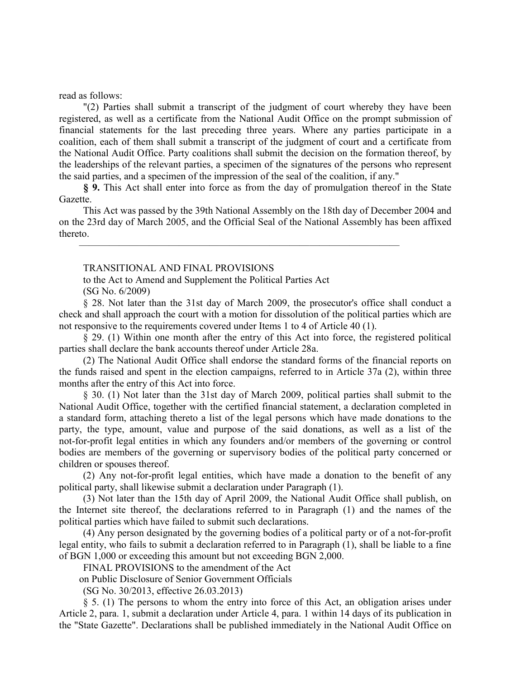read as follows:

"(2) Parties shall submit a transcript of the judgment of court whereby they have been registered, as well as a certificate from the National Audit Office on the prompt submission of financial statements for the last preceding three years. Where any parties participate in a coalition, each of them shall submit a transcript of the judgment of court and a certificate from the National Audit Office. Party coalitions shall submit the decision on the formation thereof, by the leaderships of the relevant parties, a specimen of the signatures of the persons who represent the said parties, and a specimen of the impression of the seal of the coalition, if any."

§ 9. This Act shall enter into force as from the day of promulgation thereof in the State Gazette.

This Act was passed by the 39th National Assembly on the 18th day of December 2004 and on the 23rd day of March 2005, and the Official Seal of the National Assembly has been affixed thereto.

 $\overline{\phantom{a}}$  , and the contribution of the contribution of the contribution of the contribution of the contribution of the contribution of the contribution of the contribution of the contribution of the contribution of the

#### TRANSITIONAL AND FINAL PROVISIONS

to the Act to Amend and Supplement the Political Parties Act (SG No. 6/2009)

§ 28. Not later than the 31st day of March 2009, the prosecutor's office shall conduct a check and shall approach the court with a motion for dissolution of the political parties which are not responsive to the requirements covered under Items 1 to 4 of Article 40 (1).

§ 29. (1) Within one month after the entry of this Act into force, the registered political parties shall declare the bank accounts thereof under Article 28a.

(2) The National Audit Office shall endorse the standard forms of the financial reports on the funds raised and spent in the election campaigns, referred to in Article 37a (2), within three months after the entry of this Act into force.

§ 30. (1) Not later than the 31st day of March 2009, political parties shall submit to the National Audit Office, together with the certified financial statement, a declaration completed in a standard form, attaching thereto a list of the legal persons which have made donations to the party, the type, amount, value and purpose of the said donations, as well as a list of the not-for-profit legal entities in which any founders and/or members of the governing or control bodies are members of the governing or supervisory bodies of the political party concerned or children or spouses thereof.

(2) Any not-for-profit legal entities, which have made a donation to the benefit of any political party, shall likewise submit a declaration under Paragraph (1).

(3) Not later than the 15th day of April 2009, the National Audit Office shall publish, on the Internet site thereof, the declarations referred to in Paragraph (1) and the names of the political parties which have failed to submit such declarations.

(4) Any person designated by the governing bodies of a political party or of a not-for-profit legal entity, who fails to submit a declaration referred to in Paragraph (1), shall be liable to a fine of BGN 1,000 or exceeding this amount but not exceeding BGN 2,000.

FINAL PROVISIONS to the amendment of the Аct

on Public Disclosure of Senior Government Officials

(SG No. 30/2013, effective 26.03.2013)

§ 5. (1) The persons to whom the entry into force of this Act, an obligation arises under Article 2, para. 1, submit a declaration under Article 4, para. 1 within 14 days of its publication in the "State Gazette". Declarations shall be published immediately in the National Audit Office on